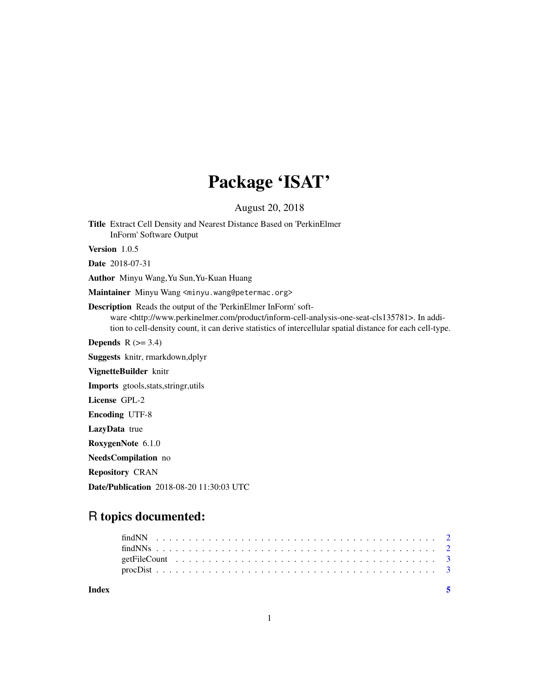# Package 'ISAT'

August 20, 2018

Title Extract Cell Density and Nearest Distance Based on 'PerkinElmer InForm' Software Output

Version 1.0.5

Date 2018-07-31

Author Minyu Wang,Yu Sun,Yu-Kuan Huang

Maintainer Minyu Wang <minyu.wang@petermac.org>

Description Reads the output of the 'PerkinElmer InForm' software <http://www.perkinelmer.com/product/inform-cell-analysis-one-seat-cls135781>. In addition to cell-density count, it can derive statistics of intercellular spatial distance for each cell-type.

Depends  $R$  ( $>= 3.4$ )

Suggests knitr, rmarkdown,dplyr

VignetteBuilder knitr

Imports gtools,stats,stringr,utils

License GPL-2

Encoding UTF-8

LazyData true

RoxygenNote 6.1.0

NeedsCompilation no

Repository CRAN

Date/Publication 2018-08-20 11:30:03 UTC

# R topics documented:

| Index |  |  |  |  |  |  |  |  |  |  |  |  |  |  |  |  |  |  |  |
|-------|--|--|--|--|--|--|--|--|--|--|--|--|--|--|--|--|--|--|--|
|       |  |  |  |  |  |  |  |  |  |  |  |  |  |  |  |  |  |  |  |
|       |  |  |  |  |  |  |  |  |  |  |  |  |  |  |  |  |  |  |  |
|       |  |  |  |  |  |  |  |  |  |  |  |  |  |  |  |  |  |  |  |
|       |  |  |  |  |  |  |  |  |  |  |  |  |  |  |  |  |  |  |  |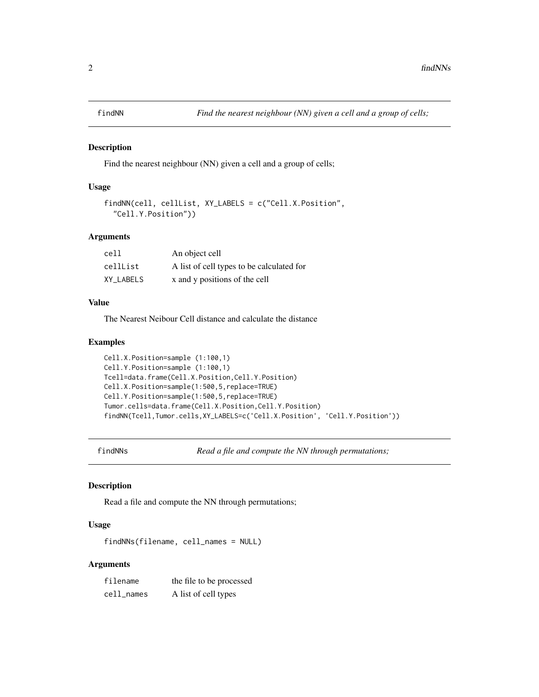<span id="page-1-0"></span>

#### Description

Find the nearest neighbour (NN) given a cell and a group of cells;

#### Usage

```
findNN(cell, cellList, XY_LABELS = c("Cell.X.Position",
  "Cell.Y.Position"))
```
# Arguments

| cell      | An object cell                            |
|-----------|-------------------------------------------|
| cellList  | A list of cell types to be calculated for |
| XY LABELS | x and y positions of the cell             |

#### Value

The Nearest Neibour Cell distance and calculate the distance

#### Examples

```
Cell.X.Position=sample (1:100,1)
Cell.Y.Position=sample (1:100,1)
Tcell=data.frame(Cell.X.Position,Cell.Y.Position)
Cell.X.Position=sample(1:500,5,replace=TRUE)
Cell.Y.Position=sample(1:500,5,replace=TRUE)
Tumor.cells=data.frame(Cell.X.Position,Cell.Y.Position)
findNN(Tcell,Tumor.cells,XY_LABELS=c('Cell.X.Position', 'Cell.Y.Position'))
```
findNNs *Read a file and compute the NN through permutations;*

#### Description

Read a file and compute the NN through permutations;

#### Usage

findNNs(filename, cell\_names = NULL)

#### Arguments

| filename   | the file to be processed |
|------------|--------------------------|
| cell_names | A list of cell types     |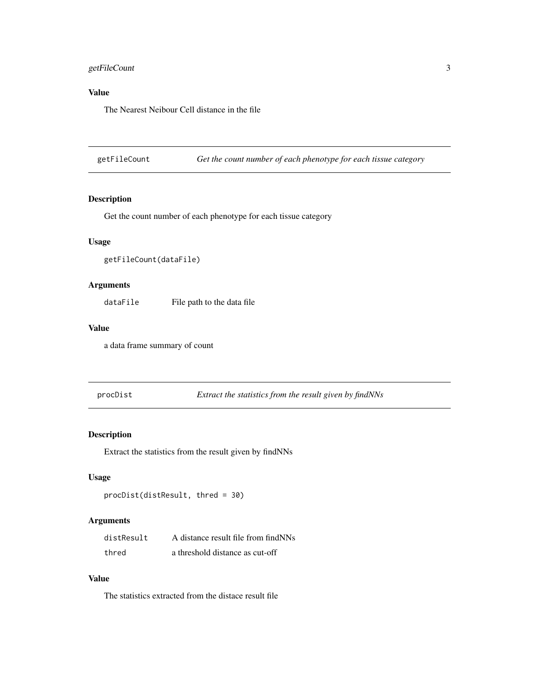# <span id="page-2-0"></span>getFileCount 3

# Value

The Nearest Neibour Cell distance in the file

getFileCount *Get the count number of each phenotype for each tissue category*

# Description

Get the count number of each phenotype for each tissue category

# Usage

```
getFileCount(dataFile)
```
# Arguments

dataFile File path to the data file

#### Value

a data frame summary of count

procDist *Extract the statistics from the result given by findNNs*

# Description

Extract the statistics from the result given by findNNs

# Usage

```
procDist(distResult, thred = 30)
```
# Arguments

| distResult | A distance result file from find NNs |
|------------|--------------------------------------|
| thred      | a threshold distance as cut-off      |

#### Value

The statistics extracted from the distace result file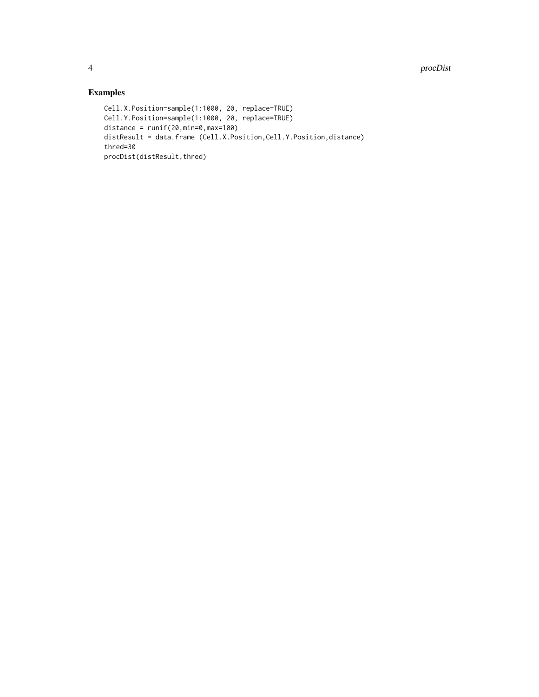# Examples

```
Cell.X.Position=sample(1:1000, 20, replace=TRUE)
Cell.Y.Position=sample(1:1000, 20, replace=TRUE)
distance = runif(20, min=0, max=100)distResult = data.frame (Cell.X.Position,Cell.Y.Position,distance)
thred=30
procDist(distResult,thred)
```